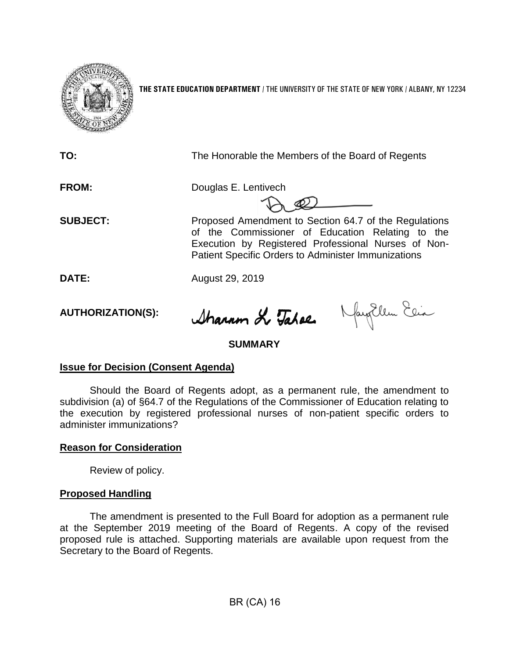

**THE STATE EDUCATION DEPARTMENT** / THE UNIVERSITY OF THE STATE OF NEW YORK / ALBANY, NY 12234

| TO:             | The Honorable the Members of the Board of Regents                                                                                                                                                                              |
|-----------------|--------------------------------------------------------------------------------------------------------------------------------------------------------------------------------------------------------------------------------|
| <b>FROM:</b>    | Douglas E. Lentivech                                                                                                                                                                                                           |
| <b>SUBJECT:</b> | Proposed Amendment to Section 64.7 of the Regulations<br>of the Commissioner of Education Relating to the<br>Execution by Registered Professional Nurses of Non-<br><b>Patient Specific Orders to Administer Immunizations</b> |
| DATE:           | August 29, 2019                                                                                                                                                                                                                |

**AUTHORIZATION(S):**

Sharam & Talee MayEllen Ein

## **SUMMARY**

## **Issue for Decision (Consent Agenda)**

Should the Board of Regents adopt, as a permanent rule, the amendment to subdivision (a) of §64.7 of the Regulations of the Commissioner of Education relating to the execution by registered professional nurses of non-patient specific orders to administer immunizations?

## **Reason for Consideration**

Review of policy.

## **Proposed Handling**

The amendment is presented to the Full Board for adoption as a permanent rule at the September 2019 meeting of the Board of Regents. A copy of the revised proposed rule is attached. Supporting materials are available upon request from the Secretary to the Board of Regents.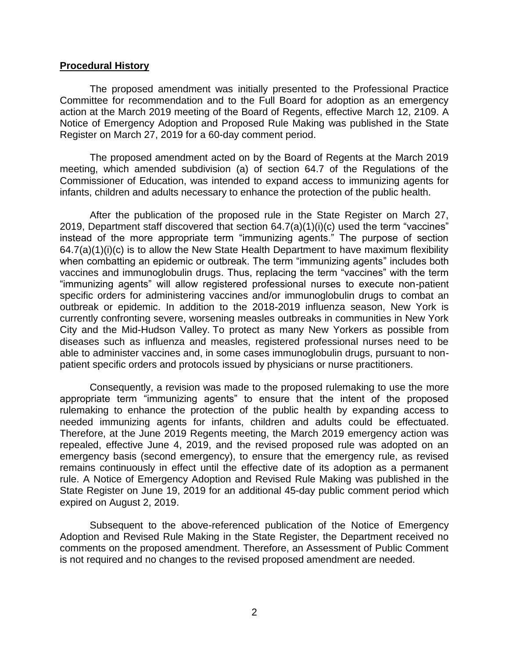#### **Procedural History**

The proposed amendment was initially presented to the Professional Practice Committee for recommendation and to the Full Board for adoption as an emergency action at the March 2019 meeting of the Board of Regents, effective March 12, 2109. A Notice of Emergency Adoption and Proposed Rule Making was published in the State Register on March 27, 2019 for a 60-day comment period.

The proposed amendment acted on by the Board of Regents at the March 2019 meeting, which amended subdivision (a) of section 64.7 of the Regulations of the Commissioner of Education, was intended to expand access to immunizing agents for infants, children and adults necessary to enhance the protection of the public health.

After the publication of the proposed rule in the State Register on March 27, 2019, Department staff discovered that section 64.7(a)(1)(i)(c) used the term "vaccines" instead of the more appropriate term "immunizing agents." The purpose of section  $64.7(a)(1)(i)(c)$  is to allow the New State Health Department to have maximum flexibility when combatting an epidemic or outbreak. The term "immunizing agents" includes both vaccines and immunoglobulin drugs. Thus, replacing the term "vaccines" with the term "immunizing agents" will allow registered professional nurses to execute non-patient specific orders for administering vaccines and/or immunoglobulin drugs to combat an outbreak or epidemic. In addition to the 2018-2019 influenza season, New York is currently confronting severe, worsening measles outbreaks in communities in New York City and the Mid-Hudson Valley. To protect as many New Yorkers as possible from diseases such as influenza and measles, registered professional nurses need to be able to administer vaccines and, in some cases immunoglobulin drugs, pursuant to nonpatient specific orders and protocols issued by physicians or nurse practitioners.

Consequently, a revision was made to the proposed rulemaking to use the more appropriate term "immunizing agents" to ensure that the intent of the proposed rulemaking to enhance the protection of the public health by expanding access to needed immunizing agents for infants, children and adults could be effectuated. Therefore, at the June 2019 Regents meeting, the March 2019 emergency action was repealed, effective June 4, 2019, and the revised proposed rule was adopted on an emergency basis (second emergency), to ensure that the emergency rule, as revised remains continuously in effect until the effective date of its adoption as a permanent rule. A Notice of Emergency Adoption and Revised Rule Making was published in the State Register on June 19, 2019 for an additional 45-day public comment period which expired on August 2, 2019.

Subsequent to the above-referenced publication of the Notice of Emergency Adoption and Revised Rule Making in the State Register, the Department received no comments on the proposed amendment. Therefore, an Assessment of Public Comment is not required and no changes to the revised proposed amendment are needed.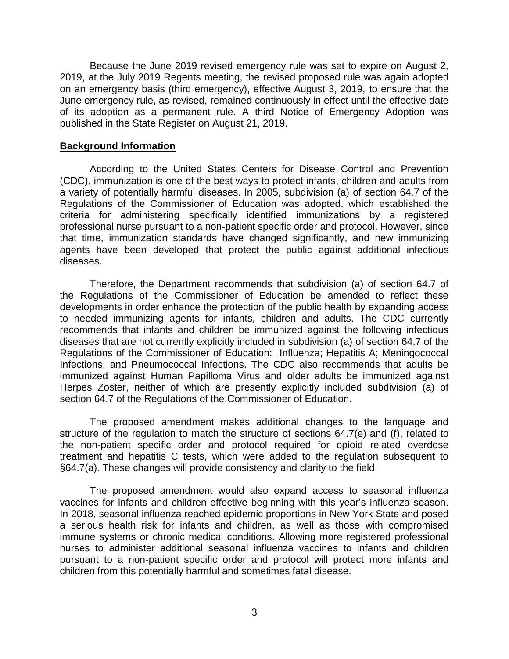Because the June 2019 revised emergency rule was set to expire on August 2, 2019, at the July 2019 Regents meeting, the revised proposed rule was again adopted on an emergency basis (third emergency), effective August 3, 2019, to ensure that the June emergency rule, as revised, remained continuously in effect until the effective date of its adoption as a permanent rule. A third Notice of Emergency Adoption was published in the State Register on August 21, 2019.

#### **Background Information**

According to the United States Centers for Disease Control and Prevention (CDC), immunization is one of the best ways to protect infants, children and adults from a variety of potentially harmful diseases. In 2005, subdivision (a) of section 64.7 of the Regulations of the Commissioner of Education was adopted, which established the criteria for administering specifically identified immunizations by a registered professional nurse pursuant to a non-patient specific order and protocol. However, since that time, immunization standards have changed significantly, and new immunizing agents have been developed that protect the public against additional infectious diseases.

Therefore, the Department recommends that subdivision (a) of section 64.7 of the Regulations of the Commissioner of Education be amended to reflect these developments in order enhance the protection of the public health by expanding access to needed immunizing agents for infants, children and adults. The CDC currently recommends that infants and children be immunized against the following infectious diseases that are not currently explicitly included in subdivision (a) of section 64.7 of the Regulations of the Commissioner of Education: Influenza; Hepatitis A; Meningococcal Infections; and Pneumococcal Infections. The CDC also recommends that adults be immunized against Human Papilloma Virus and older adults be immunized against Herpes Zoster, neither of which are presently explicitly included subdivision (a) of section 64.7 of the Regulations of the Commissioner of Education.

The proposed amendment makes additional changes to the language and structure of the regulation to match the structure of sections 64.7(e) and (f), related to the non-patient specific order and protocol required for opioid related overdose treatment and hepatitis C tests, which were added to the regulation subsequent to §64.7(a). These changes will provide consistency and clarity to the field.

The proposed amendment would also expand access to seasonal influenza vaccines for infants and children effective beginning with this year's influenza season. In 2018, seasonal influenza reached epidemic proportions in New York State and posed a serious health risk for infants and children, as well as those with compromised immune systems or chronic medical conditions. Allowing more registered professional nurses to administer additional seasonal influenza vaccines to infants and children pursuant to a non-patient specific order and protocol will protect more infants and children from this potentially harmful and sometimes fatal disease.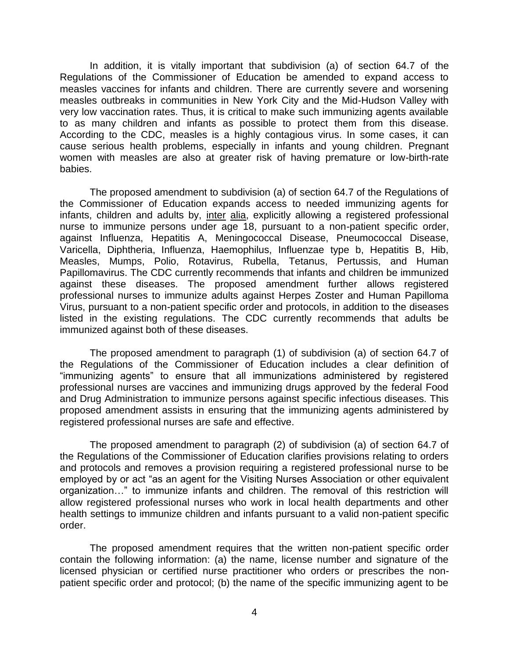In addition, it is vitally important that subdivision (a) of section 64.7 of the Regulations of the Commissioner of Education be amended to expand access to measles vaccines for infants and children. There are currently severe and worsening measles outbreaks in communities in New York City and the Mid-Hudson Valley with very low vaccination rates. Thus, it is critical to make such immunizing agents available to as many children and infants as possible to protect them from this disease. According to the CDC, measles is a highly contagious virus. In some cases, it can cause serious health problems, especially in infants and young children. Pregnant women with measles are also at greater risk of having premature or low-birth-rate babies.

The proposed amendment to subdivision (a) of section 64.7 of the Regulations of the Commissioner of Education expands access to needed immunizing agents for infants, children and adults by, inter alia, explicitly allowing a registered professional nurse to immunize persons under age 18, pursuant to a non-patient specific order, against Influenza, Hepatitis A, Meningococcal Disease, Pneumococcal Disease, Varicella, Diphtheria, Influenza, Haemophilus, Influenzae type b, Hepatitis B, Hib, Measles, Mumps, Polio, Rotavirus, Rubella, Tetanus, Pertussis, and Human Papillomavirus. The CDC currently recommends that infants and children be immunized against these diseases. The proposed amendment further allows registered professional nurses to immunize adults against Herpes Zoster and Human Papilloma Virus, pursuant to a non-patient specific order and protocols, in addition to the diseases listed in the existing regulations. The CDC currently recommends that adults be immunized against both of these diseases.

The proposed amendment to paragraph (1) of subdivision (a) of section 64.7 of the Regulations of the Commissioner of Education includes a clear definition of "immunizing agents" to ensure that all immunizations administered by registered professional nurses are vaccines and immunizing drugs approved by the federal Food and Drug Administration to immunize persons against specific infectious diseases. This proposed amendment assists in ensuring that the immunizing agents administered by registered professional nurses are safe and effective.

The proposed amendment to paragraph (2) of subdivision (a) of section 64.7 of the Regulations of the Commissioner of Education clarifies provisions relating to orders and protocols and removes a provision requiring a registered professional nurse to be employed by or act "as an agent for the Visiting Nurses Association or other equivalent organization…" to immunize infants and children. The removal of this restriction will allow registered professional nurses who work in local health departments and other health settings to immunize children and infants pursuant to a valid non-patient specific order.

The proposed amendment requires that the written non-patient specific order contain the following information: (a) the name, license number and signature of the licensed physician or certified nurse practitioner who orders or prescribes the nonpatient specific order and protocol; (b) the name of the specific immunizing agent to be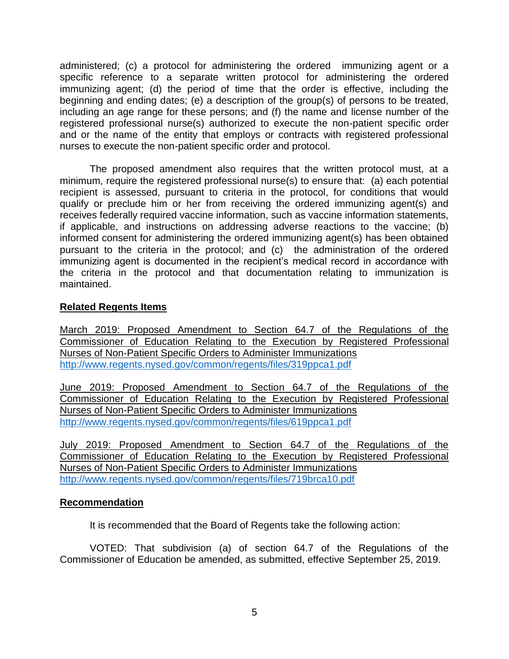administered; (c) a protocol for administering the ordered immunizing agent or a specific reference to a separate written protocol for administering the ordered immunizing agent; (d) the period of time that the order is effective, including the beginning and ending dates; (e) a description of the group(s) of persons to be treated, including an age range for these persons; and (f) the name and license number of the registered professional nurse(s) authorized to execute the non-patient specific order and or the name of the entity that employs or contracts with registered professional nurses to execute the non-patient specific order and protocol.

The proposed amendment also requires that the written protocol must, at a minimum, require the registered professional nurse(s) to ensure that: (a) each potential recipient is assessed, pursuant to criteria in the protocol, for conditions that would qualify or preclude him or her from receiving the ordered immunizing agent(s) and receives federally required vaccine information, such as vaccine information statements, if applicable, and instructions on addressing adverse reactions to the vaccine; (b) informed consent for administering the ordered immunizing agent(s) has been obtained pursuant to the criteria in the protocol; and (c) the administration of the ordered immunizing agent is documented in the recipient's medical record in accordance with the criteria in the protocol and that documentation relating to immunization is maintained.

## **Related Regents Items**

March 2019: Proposed Amendment to Section 64.7 of the Regulations of the Commissioner of Education Relating to the Execution by Registered Professional Nurses of Non-Patient Specific Orders to Administer Immunizations <http://www.regents.nysed.gov/common/regents/files/319ppca1.pdf>

June 2019: Proposed Amendment to Section 64.7 of the Regulations of the Commissioner of Education Relating to the Execution by Registered Professional Nurses of Non-Patient Specific Orders to Administer Immunizations <http://www.regents.nysed.gov/common/regents/files/619ppca1.pdf>

July 2019: Proposed Amendment to Section 64.7 of the Regulations of the Commissioner of Education Relating to the Execution by Registered Professional Nurses of Non-Patient Specific Orders to Administer Immunizations <http://www.regents.nysed.gov/common/regents/files/719brca10.pdf>

## **Recommendation**

It is recommended that the Board of Regents take the following action:

VOTED: That subdivision (a) of section 64.7 of the Regulations of the Commissioner of Education be amended, as submitted, effective September 25, 2019.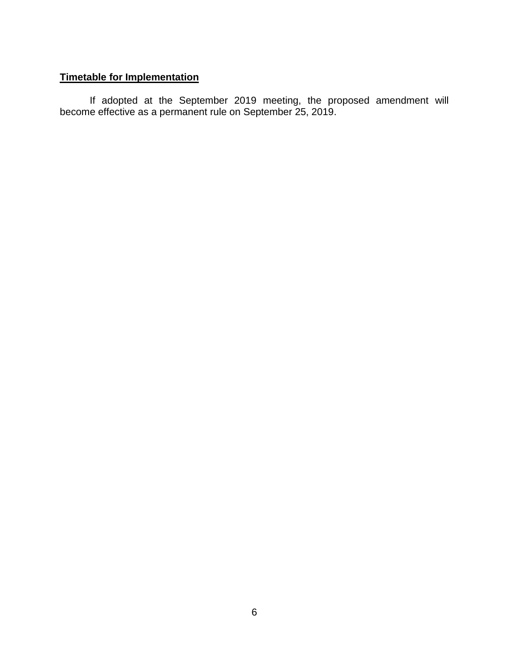## **Timetable for Implementation**

If adopted at the September 2019 meeting, the proposed amendment will become effective as a permanent rule on September 25, 2019.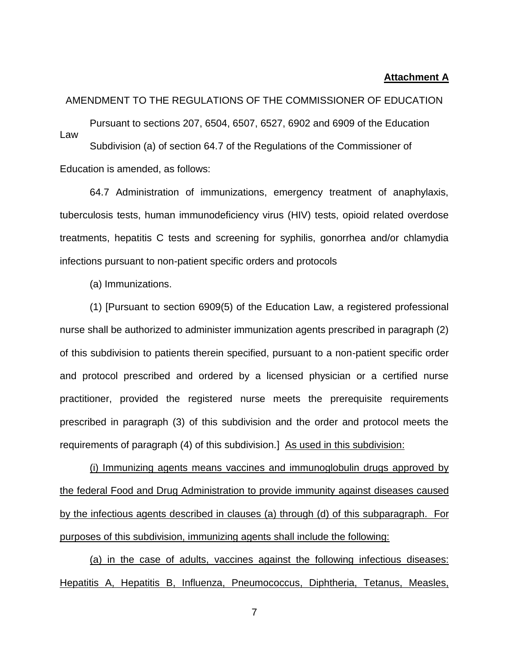#### **Attachment A**

#### AMENDMENT TO THE REGULATIONS OF THE COMMISSIONER OF EDUCATION

Pursuant to sections 207, 6504, 6507, 6527, 6902 and 6909 of the Education Law Subdivision (a) of section 64.7 of the Regulations of the Commissioner of Education is amended, as follows:

64.7 Administration of immunizations, emergency treatment of anaphylaxis, tuberculosis tests, human immunodeficiency virus (HIV) tests, opioid related overdose treatments, hepatitis C tests and screening for syphilis, gonorrhea and/or chlamydia infections pursuant to non-patient specific orders and protocols

(a) Immunizations.

(1) [Pursuant to section 6909(5) of the Education Law, a registered professional nurse shall be authorized to administer immunization agents prescribed in paragraph (2) of this subdivision to patients therein specified, pursuant to a non-patient specific order and protocol prescribed and ordered by a licensed physician or a certified nurse practitioner, provided the registered nurse meets the prerequisite requirements prescribed in paragraph (3) of this subdivision and the order and protocol meets the requirements of paragraph (4) of this subdivision.] As used in this subdivision:

(i) Immunizing agents means vaccines and immunoglobulin drugs approved by the federal Food and Drug Administration to provide immunity against diseases caused by the infectious agents described in clauses (a) through (d) of this subparagraph. For purposes of this subdivision, immunizing agents shall include the following:

(a) in the case of adults, vaccines against the following infectious diseases: Hepatitis A, Hepatitis B, Influenza, Pneumococcus, Diphtheria, Tetanus, Measles,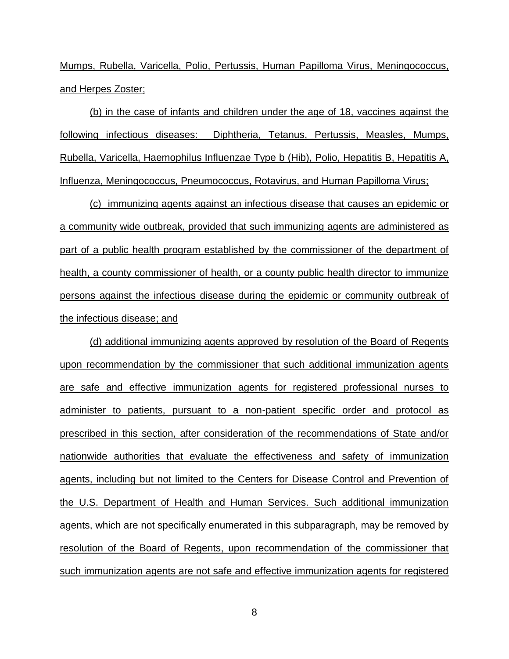Mumps, Rubella, Varicella, Polio, Pertussis, Human Papilloma Virus, Meningococcus, and Herpes Zoster;

(b) in the case of infants and children under the age of 18, vaccines against the following infectious diseases: Diphtheria, Tetanus, Pertussis, Measles, Mumps, Rubella, Varicella, Haemophilus Influenzae Type b (Hib), Polio, Hepatitis B, Hepatitis A, Influenza, Meningococcus, Pneumococcus, Rotavirus, and Human Papilloma Virus;

(c) immunizing agents against an infectious disease that causes an epidemic or a community wide outbreak, provided that such immunizing agents are administered as part of a public health program established by the commissioner of the department of health, a county commissioner of health, or a county public health director to immunize persons against the infectious disease during the epidemic or community outbreak of the infectious disease; and

(d) additional immunizing agents approved by resolution of the Board of Regents upon recommendation by the commissioner that such additional immunization agents are safe and effective immunization agents for registered professional nurses to administer to patients, pursuant to a non-patient specific order and protocol as prescribed in this section, after consideration of the recommendations of State and/or nationwide authorities that evaluate the effectiveness and safety of immunization agents, including but not limited to the Centers for Disease Control and Prevention of the U.S. Department of Health and Human Services. Such additional immunization agents, which are not specifically enumerated in this subparagraph, may be removed by resolution of the Board of Regents, upon recommendation of the commissioner that such immunization agents are not safe and effective immunization agents for registered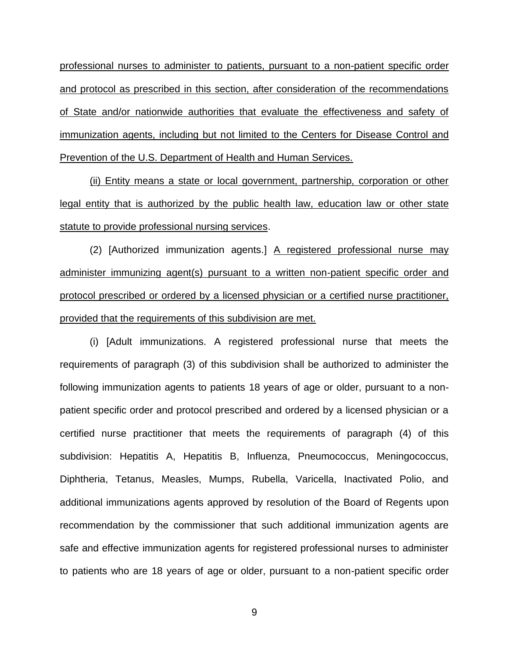professional nurses to administer to patients, pursuant to a non-patient specific order and protocol as prescribed in this section, after consideration of the recommendations of State and/or nationwide authorities that evaluate the effectiveness and safety of immunization agents, including but not limited to the Centers for Disease Control and Prevention of the U.S. Department of Health and Human Services.

(ii) Entity means a state or local government, partnership, corporation or other legal entity that is authorized by the public health law, education law or other state statute to provide professional nursing services.

(2) [Authorized immunization agents.] A registered professional nurse may administer immunizing agent(s) pursuant to a written non-patient specific order and protocol prescribed or ordered by a licensed physician or a certified nurse practitioner, provided that the requirements of this subdivision are met.

(i) [Adult immunizations. A registered professional nurse that meets the requirements of paragraph (3) of this subdivision shall be authorized to administer the following immunization agents to patients 18 years of age or older, pursuant to a nonpatient specific order and protocol prescribed and ordered by a licensed physician or a certified nurse practitioner that meets the requirements of paragraph (4) of this subdivision: Hepatitis A, Hepatitis B, Influenza, Pneumococcus, Meningococcus, Diphtheria, Tetanus, Measles, Mumps, Rubella, Varicella, Inactivated Polio, and additional immunizations agents approved by resolution of the Board of Regents upon recommendation by the commissioner that such additional immunization agents are safe and effective immunization agents for registered professional nurses to administer to patients who are 18 years of age or older, pursuant to a non-patient specific order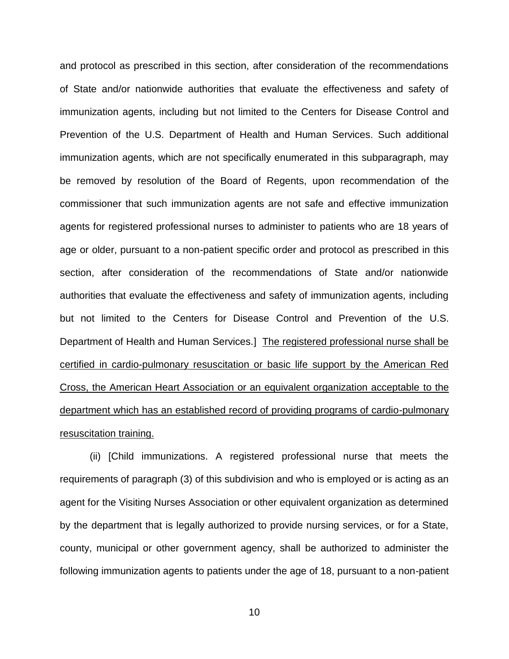and protocol as prescribed in this section, after consideration of the recommendations of State and/or nationwide authorities that evaluate the effectiveness and safety of immunization agents, including but not limited to the Centers for Disease Control and Prevention of the U.S. Department of Health and Human Services. Such additional immunization agents, which are not specifically enumerated in this subparagraph, may be removed by resolution of the Board of Regents, upon recommendation of the commissioner that such immunization agents are not safe and effective immunization agents for registered professional nurses to administer to patients who are 18 years of age or older, pursuant to a non-patient specific order and protocol as prescribed in this section, after consideration of the recommendations of State and/or nationwide authorities that evaluate the effectiveness and safety of immunization agents, including but not limited to the Centers for Disease Control and Prevention of the U.S. Department of Health and Human Services.] The registered professional nurse shall be certified in cardio-pulmonary resuscitation or basic life support by the American Red Cross, the American Heart Association or an equivalent organization acceptable to the department which has an established record of providing programs of cardio-pulmonary resuscitation training.

(ii) [Child immunizations. A registered professional nurse that meets the requirements of paragraph (3) of this subdivision and who is employed or is acting as an agent for the Visiting Nurses Association or other equivalent organization as determined by the department that is legally authorized to provide nursing services, or for a State, county, municipal or other government agency, shall be authorized to administer the following immunization agents to patients under the age of 18, pursuant to a non-patient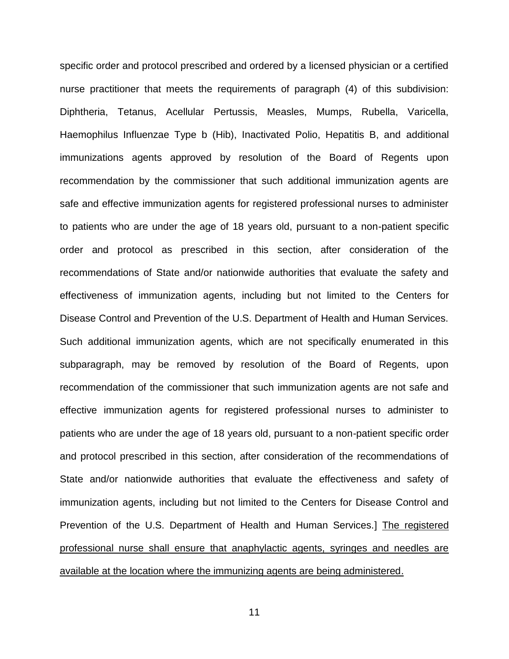specific order and protocol prescribed and ordered by a licensed physician or a certified nurse practitioner that meets the requirements of paragraph (4) of this subdivision: Diphtheria, Tetanus, Acellular Pertussis, Measles, Mumps, Rubella, Varicella, Haemophilus Influenzae Type b (Hib), Inactivated Polio, Hepatitis B, and additional immunizations agents approved by resolution of the Board of Regents upon recommendation by the commissioner that such additional immunization agents are safe and effective immunization agents for registered professional nurses to administer to patients who are under the age of 18 years old, pursuant to a non-patient specific order and protocol as prescribed in this section, after consideration of the recommendations of State and/or nationwide authorities that evaluate the safety and effectiveness of immunization agents, including but not limited to the Centers for Disease Control and Prevention of the U.S. Department of Health and Human Services. Such additional immunization agents, which are not specifically enumerated in this subparagraph, may be removed by resolution of the Board of Regents, upon recommendation of the commissioner that such immunization agents are not safe and effective immunization agents for registered professional nurses to administer to patients who are under the age of 18 years old, pursuant to a non-patient specific order and protocol prescribed in this section, after consideration of the recommendations of State and/or nationwide authorities that evaluate the effectiveness and safety of immunization agents, including but not limited to the Centers for Disease Control and Prevention of the U.S. Department of Health and Human Services.] The registered professional nurse shall ensure that anaphylactic agents, syringes and needles are available at the location where the immunizing agents are being administered.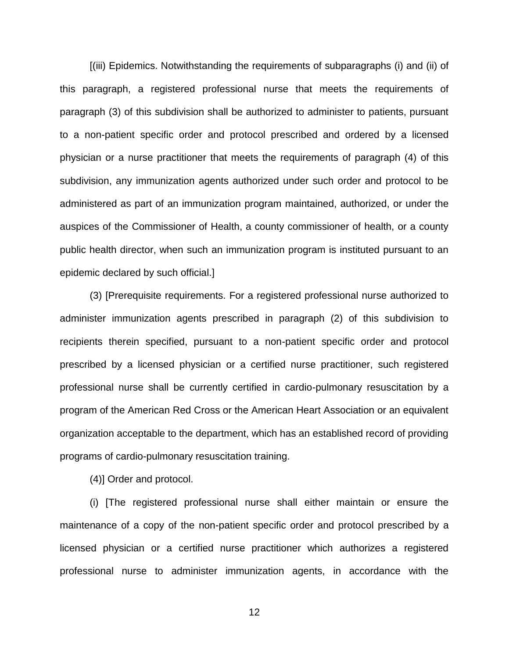[(iii) Epidemics. Notwithstanding the requirements of subparagraphs (i) and (ii) of this paragraph, a registered professional nurse that meets the requirements of paragraph (3) of this subdivision shall be authorized to administer to patients, pursuant to a non-patient specific order and protocol prescribed and ordered by a licensed physician or a nurse practitioner that meets the requirements of paragraph (4) of this subdivision, any immunization agents authorized under such order and protocol to be administered as part of an immunization program maintained, authorized, or under the auspices of the Commissioner of Health, a county commissioner of health, or a county public health director, when such an immunization program is instituted pursuant to an epidemic declared by such official.]

(3) [Prerequisite requirements. For a registered professional nurse authorized to administer immunization agents prescribed in paragraph (2) of this subdivision to recipients therein specified, pursuant to a non-patient specific order and protocol prescribed by a licensed physician or a certified nurse practitioner, such registered professional nurse shall be currently certified in cardio-pulmonary resuscitation by a program of the American Red Cross or the American Heart Association or an equivalent organization acceptable to the department, which has an established record of providing programs of cardio-pulmonary resuscitation training.

(4)] Order and protocol.

(i) [The registered professional nurse shall either maintain or ensure the maintenance of a copy of the non-patient specific order and protocol prescribed by a licensed physician or a certified nurse practitioner which authorizes a registered professional nurse to administer immunization agents, in accordance with the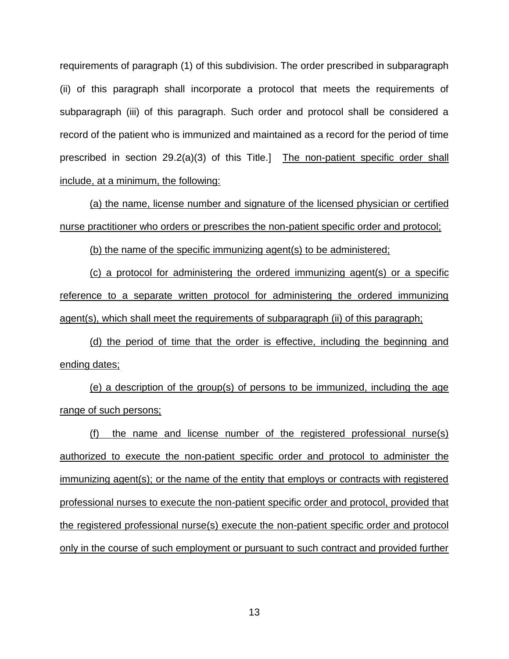requirements of paragraph (1) of this subdivision. The order prescribed in subparagraph (ii) of this paragraph shall incorporate a protocol that meets the requirements of subparagraph (iii) of this paragraph. Such order and protocol shall be considered a record of the patient who is immunized and maintained as a record for the period of time prescribed in section 29.2(a)(3) of this Title.] The non-patient specific order shall include, at a minimum, the following:

(a) the name, license number and signature of the licensed physician or certified nurse practitioner who orders or prescribes the non-patient specific order and protocol;

(b) the name of the specific immunizing agent(s) to be administered;

(c) a protocol for administering the ordered immunizing agent(s) or a specific reference to a separate written protocol for administering the ordered immunizing agent(s), which shall meet the requirements of subparagraph (ii) of this paragraph;

(d) the period of time that the order is effective, including the beginning and ending dates;

(e) a description of the group(s) of persons to be immunized, including the age range of such persons;

(f) the name and license number of the registered professional nurse(s) authorized to execute the non-patient specific order and protocol to administer the immunizing agent(s); or the name of the entity that employs or contracts with registered professional nurses to execute the non-patient specific order and protocol, provided that the registered professional nurse(s) execute the non-patient specific order and protocol only in the course of such employment or pursuant to such contract and provided further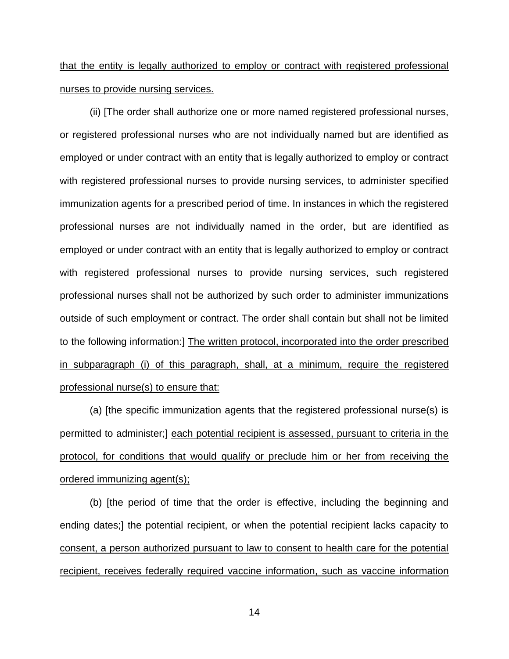# that the entity is legally authorized to employ or contract with registered professional nurses to provide nursing services.

(ii) [The order shall authorize one or more named registered professional nurses, or registered professional nurses who are not individually named but are identified as employed or under contract with an entity that is legally authorized to employ or contract with registered professional nurses to provide nursing services, to administer specified immunization agents for a prescribed period of time. In instances in which the registered professional nurses are not individually named in the order, but are identified as employed or under contract with an entity that is legally authorized to employ or contract with registered professional nurses to provide nursing services, such registered professional nurses shall not be authorized by such order to administer immunizations outside of such employment or contract. The order shall contain but shall not be limited to the following information:] The written protocol, incorporated into the order prescribed in subparagraph (i) of this paragraph, shall, at a minimum, require the registered professional nurse(s) to ensure that:

(a) [the specific immunization agents that the registered professional nurse(s) is permitted to administer;] each potential recipient is assessed, pursuant to criteria in the protocol, for conditions that would qualify or preclude him or her from receiving the ordered immunizing agent(s);

(b) [the period of time that the order is effective, including the beginning and ending dates;] the potential recipient, or when the potential recipient lacks capacity to consent, a person authorized pursuant to law to consent to health care for the potential recipient, receives federally required vaccine information, such as vaccine information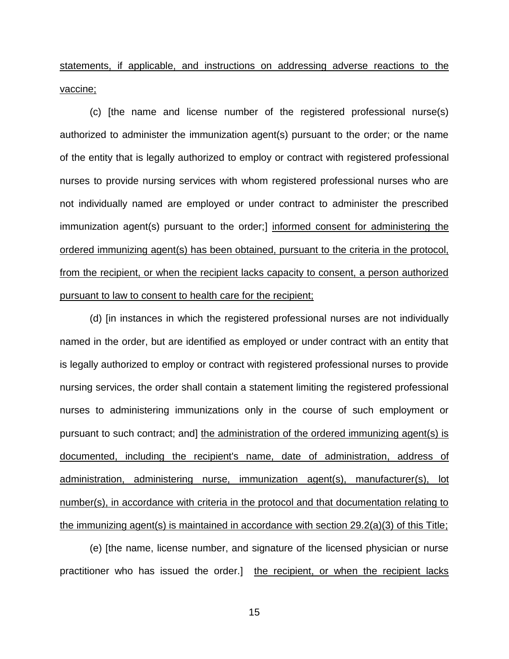statements, if applicable, and instructions on addressing adverse reactions to the vaccine;

(c) [the name and license number of the registered professional nurse(s) authorized to administer the immunization agent(s) pursuant to the order; or the name of the entity that is legally authorized to employ or contract with registered professional nurses to provide nursing services with whom registered professional nurses who are not individually named are employed or under contract to administer the prescribed immunization agent(s) pursuant to the order;] informed consent for administering the ordered immunizing agent(s) has been obtained, pursuant to the criteria in the protocol, from the recipient, or when the recipient lacks capacity to consent, a person authorized pursuant to law to consent to health care for the recipient;

(d) [in instances in which the registered professional nurses are not individually named in the order, but are identified as employed or under contract with an entity that is legally authorized to employ or contract with registered professional nurses to provide nursing services, the order shall contain a statement limiting the registered professional nurses to administering immunizations only in the course of such employment or pursuant to such contract; and] the administration of the ordered immunizing agent(s) is documented, including the recipient's name, date of administration, address of administration, administering nurse, immunization agent(s), manufacturer(s), lot number(s), in accordance with criteria in the protocol and that documentation relating to the immunizing agent(s) is maintained in accordance with section 29.2(a)(3) of this Title;

(e) [the name, license number, and signature of the licensed physician or nurse practitioner who has issued the order.] the recipient, or when the recipient lacks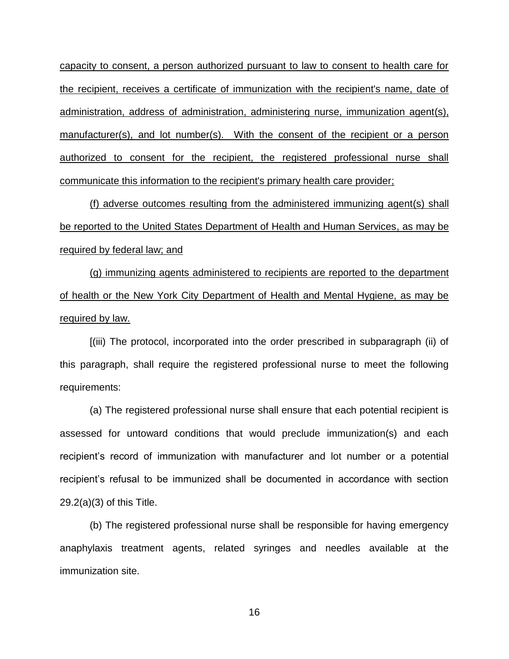capacity to consent, a person authorized pursuant to law to consent to health care for the recipient, receives a certificate of immunization with the recipient's name, date of administration, address of administration, administering nurse, immunization agent(s), manufacturer(s), and lot number(s). With the consent of the recipient or a person authorized to consent for the recipient, the registered professional nurse shall communicate this information to the recipient's primary health care provider;

(f) adverse outcomes resulting from the administered immunizing agent(s) shall be reported to the United States Department of Health and Human Services, as may be required by federal law; and

(g) immunizing agents administered to recipients are reported to the department of health or the New York City Department of Health and Mental Hygiene, as may be required by law.

[(iii) The protocol, incorporated into the order prescribed in subparagraph (ii) of this paragraph, shall require the registered professional nurse to meet the following requirements:

(a) The registered professional nurse shall ensure that each potential recipient is assessed for untoward conditions that would preclude immunization(s) and each recipient's record of immunization with manufacturer and lot number or a potential recipient's refusal to be immunized shall be documented in accordance with section 29.2(a)(3) of this Title.

(b) The registered professional nurse shall be responsible for having emergency anaphylaxis treatment agents, related syringes and needles available at the immunization site.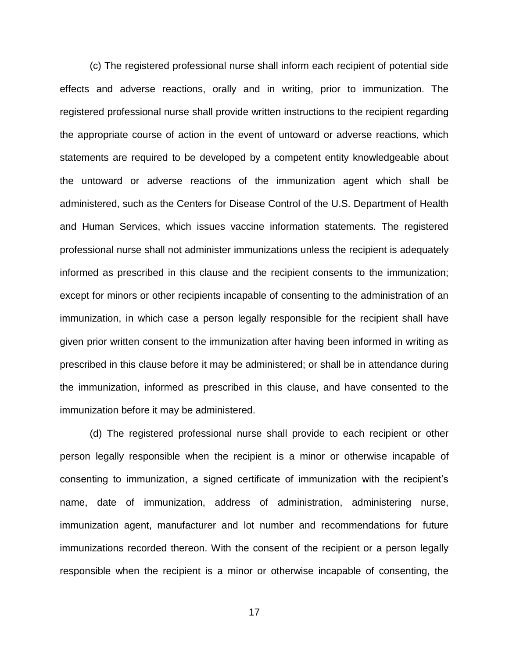(c) The registered professional nurse shall inform each recipient of potential side effects and adverse reactions, orally and in writing, prior to immunization. The registered professional nurse shall provide written instructions to the recipient regarding the appropriate course of action in the event of untoward or adverse reactions, which statements are required to be developed by a competent entity knowledgeable about the untoward or adverse reactions of the immunization agent which shall be administered, such as the Centers for Disease Control of the U.S. Department of Health and Human Services, which issues vaccine information statements. The registered professional nurse shall not administer immunizations unless the recipient is adequately informed as prescribed in this clause and the recipient consents to the immunization; except for minors or other recipients incapable of consenting to the administration of an immunization, in which case a person legally responsible for the recipient shall have given prior written consent to the immunization after having been informed in writing as prescribed in this clause before it may be administered; or shall be in attendance during the immunization, informed as prescribed in this clause, and have consented to the immunization before it may be administered.

(d) The registered professional nurse shall provide to each recipient or other person legally responsible when the recipient is a minor or otherwise incapable of consenting to immunization, a signed certificate of immunization with the recipient's name, date of immunization, address of administration, administering nurse, immunization agent, manufacturer and lot number and recommendations for future immunizations recorded thereon. With the consent of the recipient or a person legally responsible when the recipient is a minor or otherwise incapable of consenting, the